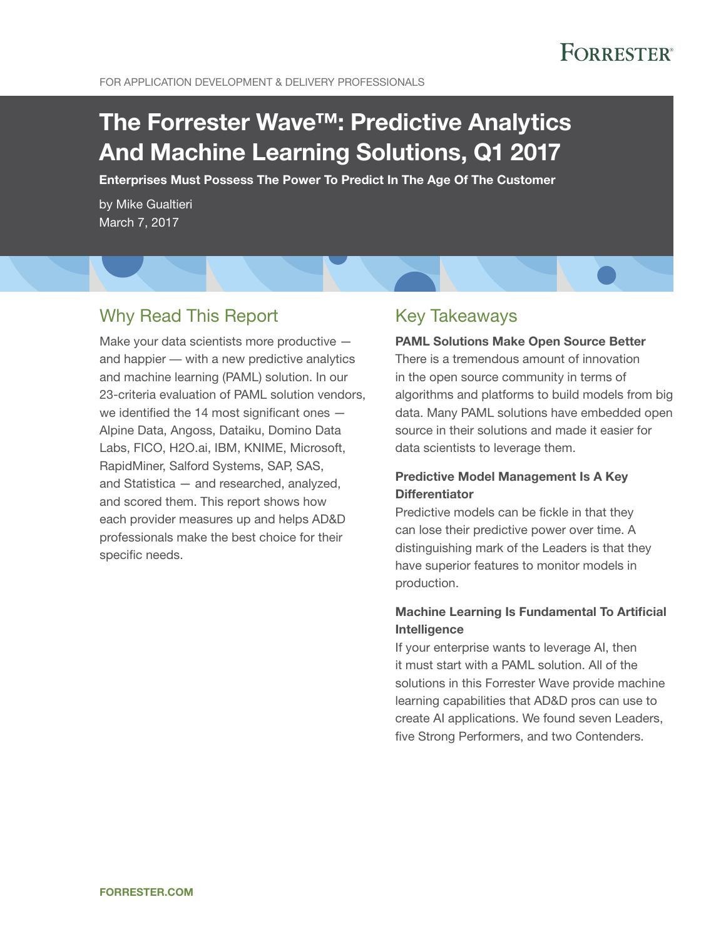# **FORRESTER®**

For Application Development & Delivery Professionals

# The Forrester Wave™: Predictive Analytics And Machine Learning Solutions, Q1 2017

Enterprises Must Possess The Power To Predict In The Age Of The Customer

by Mike Gualtieri March 7, 2017

### Why Read This Report

Make your data scientists more productive and happier — with a new predictive analytics and machine learning (PAML) solution. In our 23-criteria evaluation of PAML solution vendors, we identified the 14 most significant ones -Alpine Data, Angoss, Dataiku, Domino Data Labs, FICO, H2O.ai, IBM, KNIME, Microsoft, RapidMiner, Salford Systems, SAP, SAS, and Statistica — and researched, analyzed, and scored them. This report shows how each provider measures up and helps AD&D professionals make the best choice for their specific needs.

### Key Takeaways

#### PAML Solutions Make Open Source Better

There is a tremendous amount of innovation in the open source community in terms of algorithms and platforms to build models from big data. Many PAML solutions have embedded open source in their solutions and made it easier for data scientists to leverage them.

#### Predictive Model Management Is A Key **Differentiator**

Predictive models can be fickle in that they can lose their predictive power over time. A distinguishing mark of the Leaders is that they have superior features to monitor models in production.

#### Machine Learning Is Fundamental To Artificial Intelligence

If your enterprise wants to leverage AI, then it must start with a PAML solution. All of the solutions in this Forrester Wave provide machine learning capabilities that AD&D pros can use to create AI applications. We found seven Leaders, five Strong Performers, and two Contenders.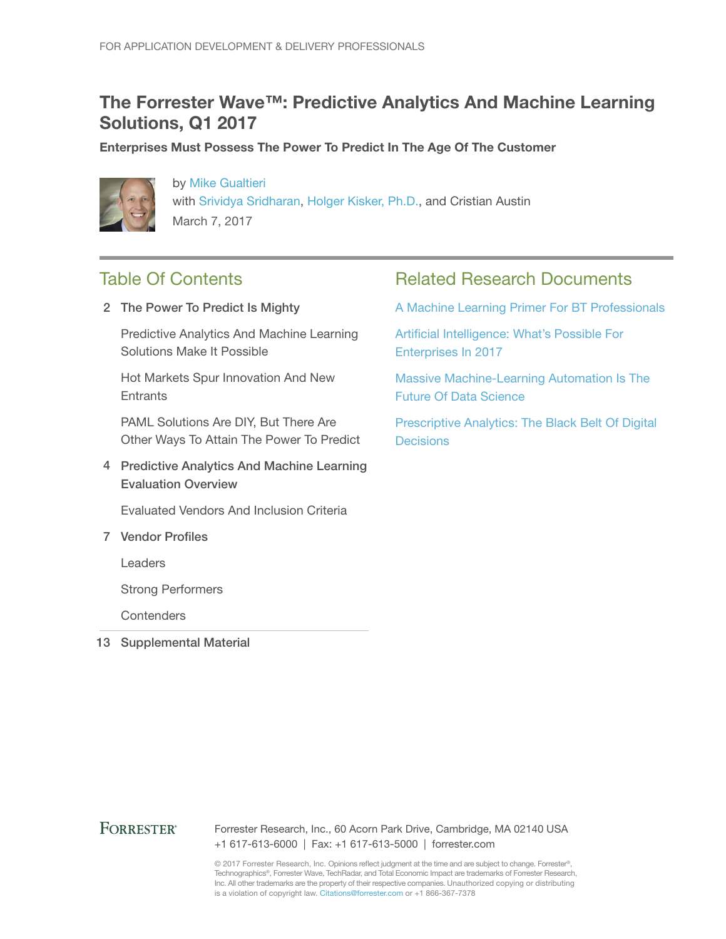### The Forrester Wave™: Predictive Analytics And Machine Learning Solutions, Q1 2017

Enterprises Must Possess The Power To Predict In The Age Of The Customer



by [Mike Gualtieri](http://www.forrester.com/go?objectid=BIO1858) with [Srividya Sridharan](http://www.forrester.com/go?objectid=BIO2679), [Holger Kisker, Ph.D.](http://www.forrester.com/go?objectid=BIO2566), and Cristian Austin March 7, 2017

### Table Of Contents

2 The Power To Predict Is Mighty

Predictive Analytics And Machine Learning Solutions Make It Possible

Hot Markets Spur Innovation And New **Entrants** 

PAML Solutions Are DIY, But There Are Other Ways To Attain The Power To Predict

4 Predictive Analytics And Machine Learning Evaluation Overview

Evaluated Vendors And Inclusion Criteria

7 Vendor Profiles

Leaders

Strong Performers

**Contenders** 

13 Supplemental Material

### Related Research Documents

[A Machine Learning Primer For BT](http://www.forrester.com/go?objectid=RES117711) Professionals

[Artificial Intelligence: What's Possible For](http://www.forrester.com/go?objectid=RES136288)  [Enterprises In 2017](http://www.forrester.com/go?objectid=RES136288)

[Massive Machine-Learning Automation Is The](http://www.forrester.com/go?objectid=RES122683)  [Future Of Data Science](http://www.forrester.com/go?objectid=RES122683)

[Prescriptive Analytics: The Black Belt Of Digital](http://www.forrester.com/go?objectid=RES122982)  **[Decisions](http://www.forrester.com/go?objectid=RES122982)** 

#### **FORRESTER®**

Forrester Research, Inc., 60 Acorn Park Drive, Cambridge, MA 02140 USA +1 617-613-6000 | Fax: +1 617-613-5000 | forrester.com

© 2017 Forrester Research, Inc. Opinions reflect judgment at the time and are subject to change. Forrester®, Technographics®, Forrester Wave, TechRadar, and Total Economic Impact are trademarks of Forrester Research, Inc. All other trademarks are the property of their respective companies. Unauthorized copying or distributing is a violation of copyright law. Citations@forrester.com or +1 866-367-7378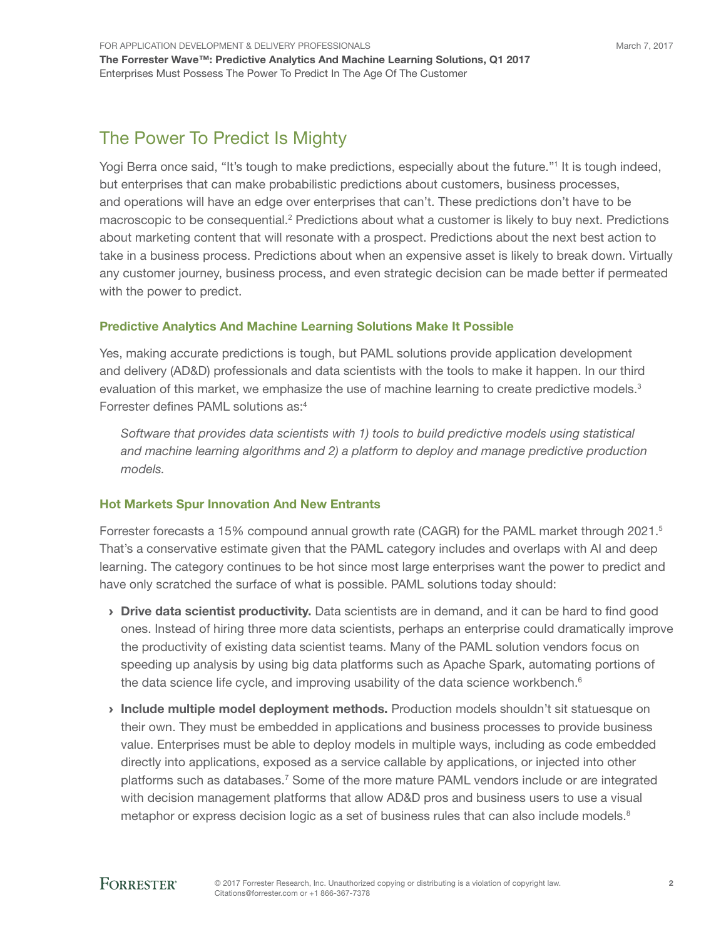### The Power To Predict Is Mighty

Yogi Berra once said, "It's tough to make predictions, especially about the future."<sup>1</sup> It is tough indeed, but enterprises that can make probabilistic predictions about customers, business processes, and operations will have an edge over enterprises that can't. These predictions don't have to be macroscopic to be consequential.<sup>2</sup> Predictions about what a customer is likely to buy next. Predictions about marketing content that will resonate with a prospect. Predictions about the next best action to take in a business process. Predictions about when an expensive asset is likely to break down. Virtually any customer journey, business process, and even strategic decision can be made better if permeated with the power to predict.

#### Predictive Analytics And Machine Learning Solutions Make It Possible

Yes, making accurate predictions is tough, but PAML solutions provide application development and delivery (AD&D) professionals and data scientists with the tools to make it happen. In our third evaluation of this market, we emphasize the use of machine learning to create predictive models.<sup>3</sup> Forrester defines PAML solutions as:<sup>4</sup>

*Software that provides data scientists with 1) tools to build predictive models using statistical and machine learning algorithms and 2) a platform to deploy and manage predictive production models.*

#### Hot Markets Spur Innovation And New Entrants

Forrester forecasts a 15% compound annual growth rate (CAGR) for the PAML market through 2021.<sup>5</sup> That's a conservative estimate given that the PAML category includes and overlaps with AI and deep learning. The category continues to be hot since most large enterprises want the power to predict and have only scratched the surface of what is possible. PAML solutions today should:

- > Drive data scientist productivity. Data scientists are in demand, and it can be hard to find good ones. Instead of hiring three more data scientists, perhaps an enterprise could dramatically improve the productivity of existing data scientist teams. Many of the PAML solution vendors focus on speeding up analysis by using big data platforms such as Apache Spark, automating portions of the data science life cycle, and improving usability of the data science workbench. $6$
- › Include multiple model deployment methods. Production models shouldn't sit statuesque on their own. They must be embedded in applications and business processes to provide business value. Enterprises must be able to deploy models in multiple ways, including as code embedded directly into applications, exposed as a service callable by applications, or injected into other platforms such as databases.<sup>7</sup> Some of the more mature PAML vendors include or are integrated with decision management platforms that allow AD&D pros and business users to use a visual metaphor or express decision logic as a set of business rules that can also include models.<sup>8</sup>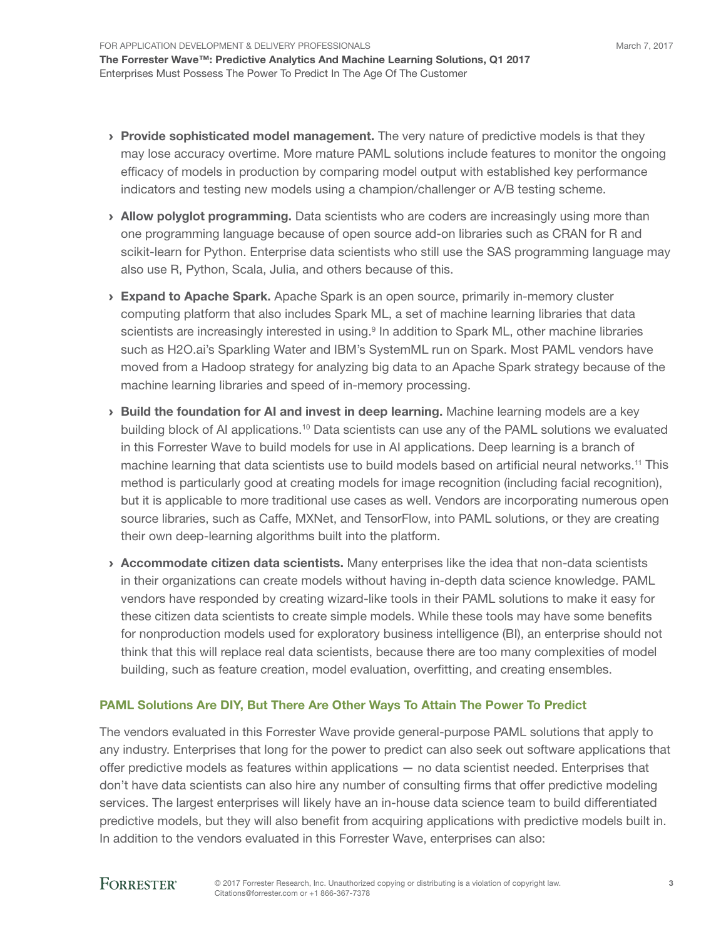- > Provide sophisticated model management. The very nature of predictive models is that they may lose accuracy overtime. More mature PAML solutions include features to monitor the ongoing efficacy of models in production by comparing model output with established key performance indicators and testing new models using a champion/challenger or A/B testing scheme.
- Allow polyglot programming. Data scientists who are coders are increasingly using more than one programming language because of open source add-on libraries such as CRAN for R and scikit-learn for Python. Enterprise data scientists who still use the SAS programming language may also use R, Python, Scala, Julia, and others because of this.
- **Expand to Apache Spark.** Apache Spark is an open source, primarily in-memory cluster computing platform that also includes Spark ML, a set of machine learning libraries that data scientists are increasingly interested in using.<sup>9</sup> In addition to Spark ML, other machine libraries such as H2O.ai's Sparkling Water and IBM's SystemML run on Spark. Most PAML vendors have moved from a Hadoop strategy for analyzing big data to an Apache Spark strategy because of the machine learning libraries and speed of in-memory processing.
- › Build the foundation for AI and invest in deep learning. Machine learning models are a key building block of AI applications.<sup>10</sup> Data scientists can use any of the PAML solutions we evaluated in this Forrester Wave to build models for use in AI applications. Deep learning is a branch of machine learning that data scientists use to build models based on artificial neural networks.<sup>11</sup> This method is particularly good at creating models for image recognition (including facial recognition), but it is applicable to more traditional use cases as well. Vendors are incorporating numerous open source libraries, such as Caffe, MXNet, and TensorFlow, into PAML solutions, or they are creating their own deep-learning algorithms built into the platform.
- › Accommodate citizen data scientists. Many enterprises like the idea that non-data scientists in their organizations can create models without having in-depth data science knowledge. PAML vendors have responded by creating wizard-like tools in their PAML solutions to make it easy for these citizen data scientists to create simple models. While these tools may have some benefits for nonproduction models used for exploratory business intelligence (BI), an enterprise should not think that this will replace real data scientists, because there are too many complexities of model building, such as feature creation, model evaluation, overfitting, and creating ensembles.

#### PAML Solutions Are DIY, But There Are Other Ways To Attain The Power To Predict

The vendors evaluated in this Forrester Wave provide general-purpose PAML solutions that apply to any industry. Enterprises that long for the power to predict can also seek out software applications that offer predictive models as features within applications — no data scientist needed. Enterprises that don't have data scientists can also hire any number of consulting firms that offer predictive modeling services. The largest enterprises will likely have an in-house data science team to build differentiated predictive models, but they will also benefit from acquiring applications with predictive models built in. In addition to the vendors evaluated in this Forrester Wave, enterprises can also: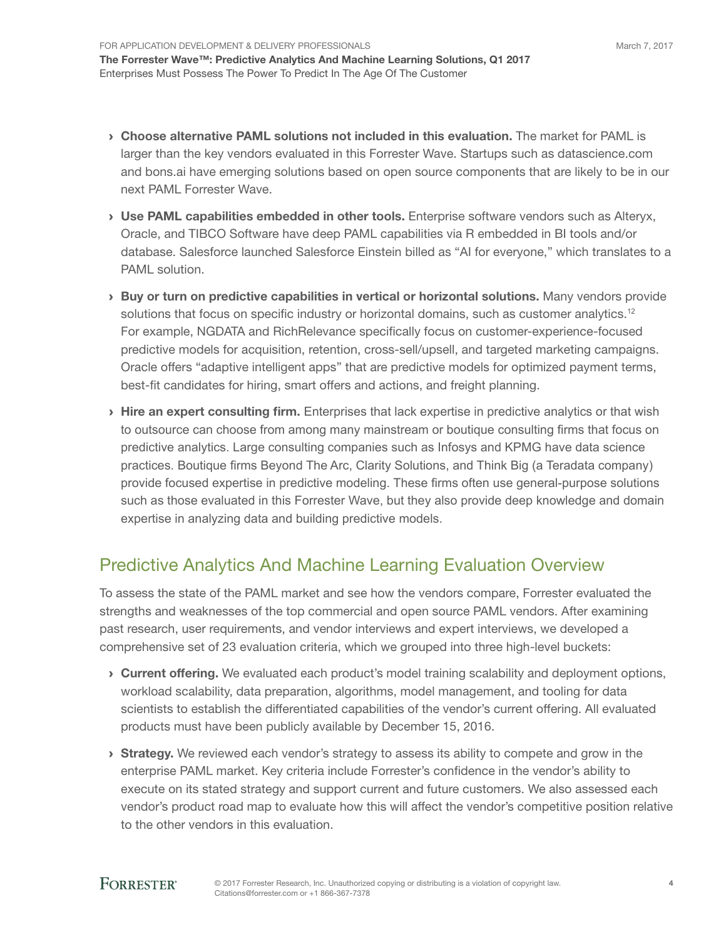- › Choose alternative PAML solutions not included in this evaluation. The market for PAML is larger than the key vendors evaluated in this Forrester Wave. Startups such as datascience.com and bons.ai have emerging solutions based on open source components that are likely to be in our next PAML Forrester Wave.
- › Use PAML capabilities embedded in other tools. Enterprise software vendors such as Alteryx, Oracle, and TIBCO Software have deep PAML capabilities via R embedded in BI tools and/or database. Salesforce launched Salesforce Einstein billed as "AI for everyone," which translates to a PAML solution.
- › Buy or turn on predictive capabilities in vertical or horizontal solutions. Many vendors provide solutions that focus on specific industry or horizontal domains, such as customer analytics.<sup>12</sup> For example, NGDATA and RichRelevance specifically focus on customer-experience-focused predictive models for acquisition, retention, cross-sell/upsell, and targeted marketing campaigns. Oracle offers "adaptive intelligent apps" that are predictive models for optimized payment terms, best-fit candidates for hiring, smart offers and actions, and freight planning.
- > Hire an expert consulting firm. Enterprises that lack expertise in predictive analytics or that wish to outsource can choose from among many mainstream or boutique consulting firms that focus on predictive analytics. Large consulting companies such as Infosys and KPMG have data science practices. Boutique firms Beyond The Arc, Clarity Solutions, and Think Big (a Teradata company) provide focused expertise in predictive modeling. These firms often use general-purpose solutions such as those evaluated in this Forrester Wave, but they also provide deep knowledge and domain expertise in analyzing data and building predictive models.

### Predictive Analytics And Machine Learning Evaluation Overview

To assess the state of the PAML market and see how the vendors compare, Forrester evaluated the strengths and weaknesses of the top commercial and open source PAML vendors. After examining past research, user requirements, and vendor interviews and expert interviews, we developed a comprehensive set of 23 evaluation criteria, which we grouped into three high-level buckets:

- › Current offering. We evaluated each product's model training scalability and deployment options, workload scalability, data preparation, algorithms, model management, and tooling for data scientists to establish the differentiated capabilities of the vendor's current offering. All evaluated products must have been publicly available by December 15, 2016.
- **Strategy.** We reviewed each vendor's strategy to assess its ability to compete and grow in the enterprise PAML market. Key criteria include Forrester's confidence in the vendor's ability to execute on its stated strategy and support current and future customers. We also assessed each vendor's product road map to evaluate how this will affect the vendor's competitive position relative to the other vendors in this evaluation.

4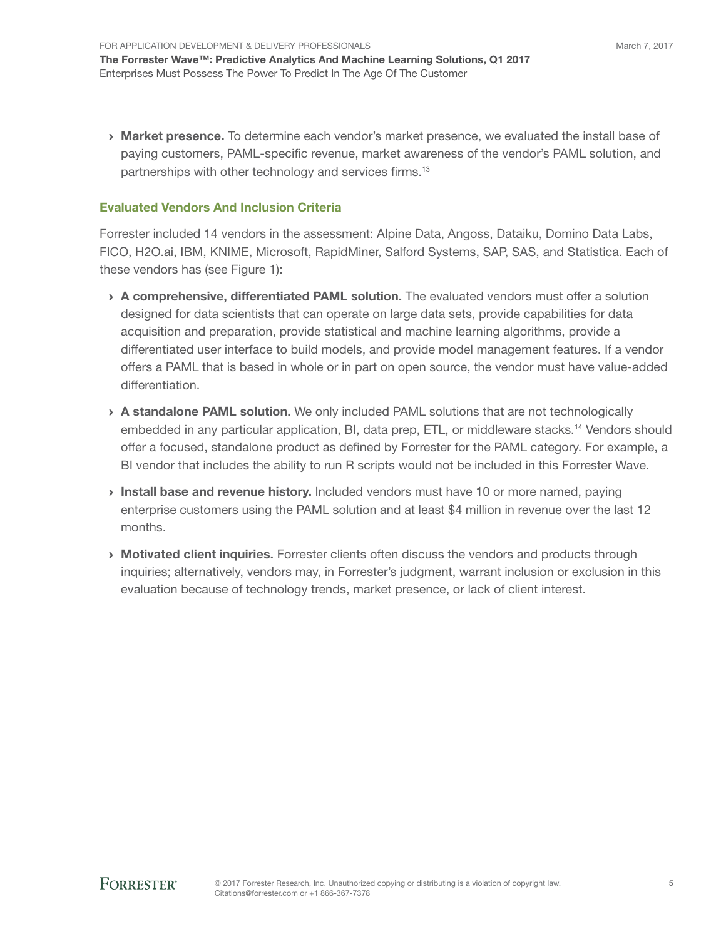› Market presence. To determine each vendor's market presence, we evaluated the install base of paying customers, PAML-specific revenue, market awareness of the vendor's PAML solution, and partnerships with other technology and services firms.<sup>13</sup>

#### Evaluated Vendors And Inclusion Criteria

Forrester included 14 vendors in the assessment: Alpine Data, Angoss, Dataiku, Domino Data Labs, FICO, H2O.ai, IBM, KNIME, Microsoft, RapidMiner, Salford Systems, SAP, SAS, and Statistica. Each of these vendors has (see Figure 1):

- > A comprehensive, differentiated PAML solution. The evaluated vendors must offer a solution designed for data scientists that can operate on large data sets, provide capabilities for data acquisition and preparation, provide statistical and machine learning algorithms, provide a differentiated user interface to build models, and provide model management features. If a vendor offers a PAML that is based in whole or in part on open source, the vendor must have value-added differentiation.
- › A standalone PAML solution. We only included PAML solutions that are not technologically embedded in any particular application, BI, data prep, ETL, or middleware stacks.<sup>14</sup> Vendors should offer a focused, standalone product as defined by Forrester for the PAML category. For example, a BI vendor that includes the ability to run R scripts would not be included in this Forrester Wave.
- Install base and revenue history. Included vendors must have 10 or more named, paying enterprise customers using the PAML solution and at least \$4 million in revenue over the last 12 months.
- **› Motivated client inquiries.** Forrester clients often discuss the vendors and products through inquiries; alternatively, vendors may, in Forrester's judgment, warrant inclusion or exclusion in this evaluation because of technology trends, market presence, or lack of client interest.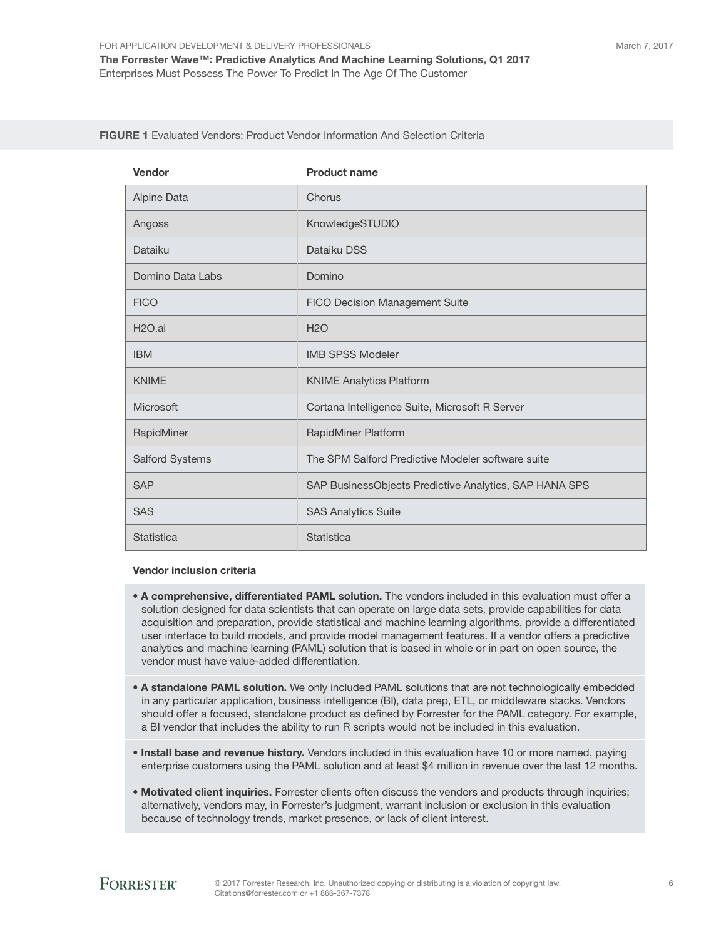March 7, 2017

#### FIGURE 1 Evaluated Vendors: Product Vendor Information And Selection Criteria

| Vendor                 | <b>Product name</b>                                    |  |
|------------------------|--------------------------------------------------------|--|
| Alpine Data            | Chorus                                                 |  |
| Angoss                 | KnowledgeSTUDIO                                        |  |
| Dataiku                | Dataiku DSS                                            |  |
| Domino Data Labs       | Domino                                                 |  |
| <b>FICO</b>            | <b>FICO Decision Management Suite</b>                  |  |
| H <sub>2</sub> O.ai    | <b>H2O</b>                                             |  |
| <b>IBM</b>             | <b>IMB SPSS Modeler</b>                                |  |
| <b>KNIME</b>           | <b>KNIME Analytics Platform</b>                        |  |
| <b>Microsoft</b>       | Cortana Intelligence Suite, Microsoft R Server         |  |
| RapidMiner             | RapidMiner Platform                                    |  |
| <b>Salford Systems</b> | The SPM Salford Predictive Modeler software suite      |  |
| <b>SAP</b>             | SAP BusinessObjects Predictive Analytics, SAP HANA SPS |  |
| <b>SAS</b>             | <b>SAS Analytics Suite</b>                             |  |
| <b>Statistica</b>      | <b>Statistica</b>                                      |  |

#### Vendor inclusion criteria

- A comprehensive, differentiated PAML solution. The vendors included in this evaluation must offer a solution designed for data scientists that can operate on large data sets, provide capabilities for data acquisition and preparation, provide statistical and machine learning algorithms, provide a differentiated user interface to build models, and provide model management features. If a vendor offers a predictive analytics and machine learning (PAML) solution that is based in whole or in part on open source, the vendor must have value-added differentiation.
- A standalone PAML solution. We only included PAML solutions that are not technologically embedded in any particular application, business intelligence (BI), data prep, ETL, or middleware stacks. Vendors should offer a focused, standalone product as defined by Forrester for the PAML category. For example, a BI vendor that includes the ability to run R scripts would not be included in this evaluation.
- Install base and revenue history. Vendors included in this evaluation have 10 or more named, paying enterprise customers using the PAML solution and at least \$4 million in revenue over the last 12 months.
- Motivated client inquiries. Forrester clients often discuss the vendors and products through inquiries; alternatively, vendors may, in Forrester's judgment, warrant inclusion or exclusion in this evaluation because of technology trends, market presence, or lack of client interest.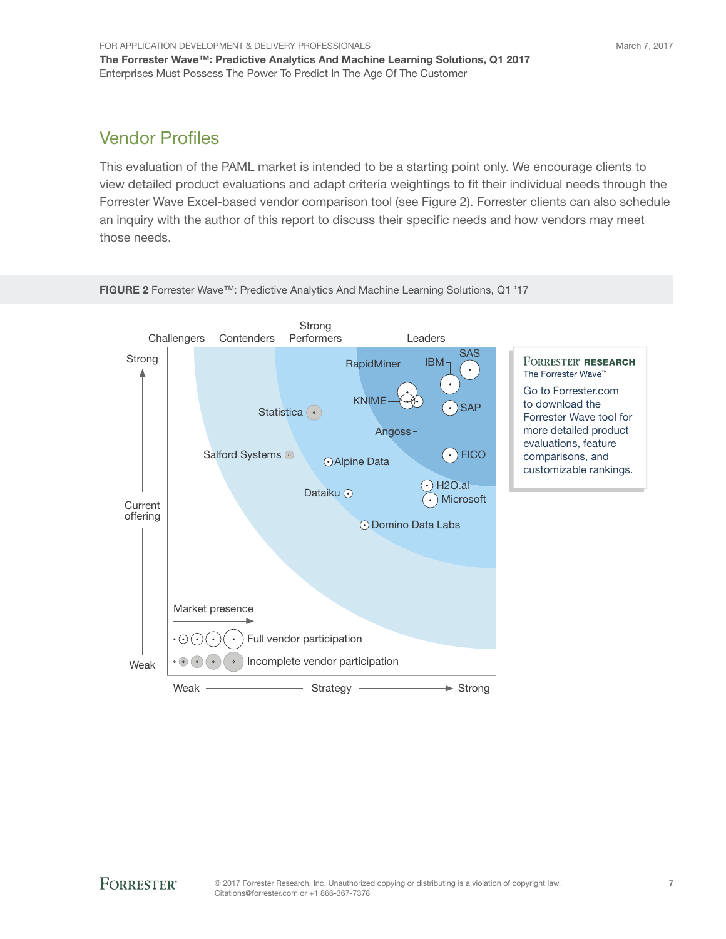## Vendor Profiles

This evaluation of the PAML market is intended to be a starting point only. We encourage clients to view detailed product evaluations and adapt criteria weightings to fit their individual needs through the Forrester Wave Excel-based vendor comparison tool (see Figure 2). Forrester clients can also schedule an inquiry with the author of this report to discuss their specific needs and how vendors may meet those needs.



FIGURE 2 Forrester Wave™: Predictive Analytics And Machine Learning Solutions, Q1 '17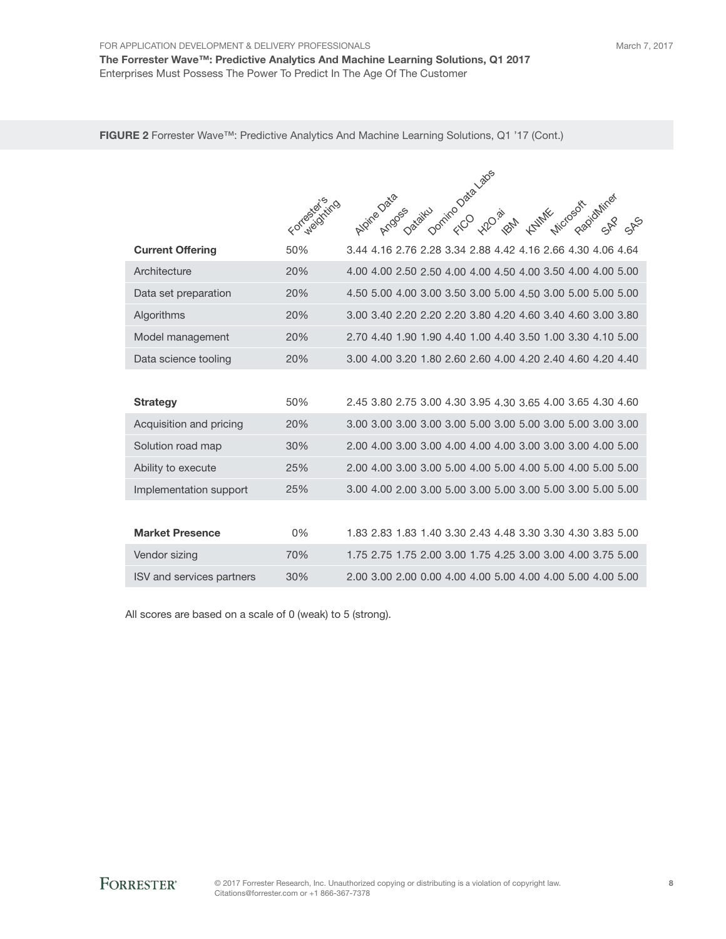FIGURE 2 Forrester Wave™: Predictive Analytics And Machine Learning Solutions, Q1 '17 (Cont.)

|                                  | Formación (1170) | Dominizo Data Labes<br>Alpine Data<br>Incroacademines                    |
|----------------------------------|------------------|--------------------------------------------------------------------------|
|                                  |                  | Dataiku<br><b>KAIMAR</b><br>Argo <sub>cs</sub><br><b>H2O.</b> ai<br>1844 |
| <b>Current Offering</b>          | 50%              | 3.44 4.16 2.76 2.28 3.34 2.88 4.42 4.16 2.66 4.30 4.06 4.64              |
| Architecture                     | 20%              | 4.00 4.00 2.50 2.50 4.00 4.00 4.50 4.00 3.50 4.00 4.00 5.00              |
| Data set preparation             | 20%              | 4.50 5.00 4.00 3.00 3.50 3.00 5.00 4.50 3.00 5.00 5.00 5.00              |
| Algorithms                       | 20%              | 3.00 3.40 2.20 2.20 2.20 3.80 4.20 4.60 3.40 4.60 3.00 3.80              |
| Model management                 | 20%              | 2.70 4.40 1.90 1.90 4.40 1.00 4.40 3.50 1.00 3.30 4.10 5.00              |
| Data science tooling             | 20%              | 3.00 4.00 3.20 1.80 2.60 2.60 4.00 4.20 2.40 4.60 4.20 4.40              |
|                                  |                  |                                                                          |
| <b>Strategy</b>                  | 50%              | 2.45 3.80 2.75 3.00 4.30 3.95 4.30 3.65 4.00 3.65 4.30 4.60              |
| Acquisition and pricing          | 20%              |                                                                          |
| Solution road map                | 30%              |                                                                          |
| Ability to execute               | 25%              |                                                                          |
| Implementation support           | 25%              |                                                                          |
|                                  |                  |                                                                          |
| <b>Market Presence</b>           | $0\%$            | 1.83 2.83 1.83 1.40 3.30 2.43 4.48 3.30 3.30 4.30 3.83 5.00              |
| Vendor sizing                    | 70%              | 1.75 2.75 1.75 2.00 3.00 1.75 4.25 3.00 3.00 4.00 3.75 5.00              |
| <b>ISV</b> and services partners | 30%              | 2.00 3.00 2.00 0.00 4.00 4.00 5.00 4.00 4.00 5.00 4.00 5.00              |

All scores are based on a scale of 0 (weak) to 5 (strong).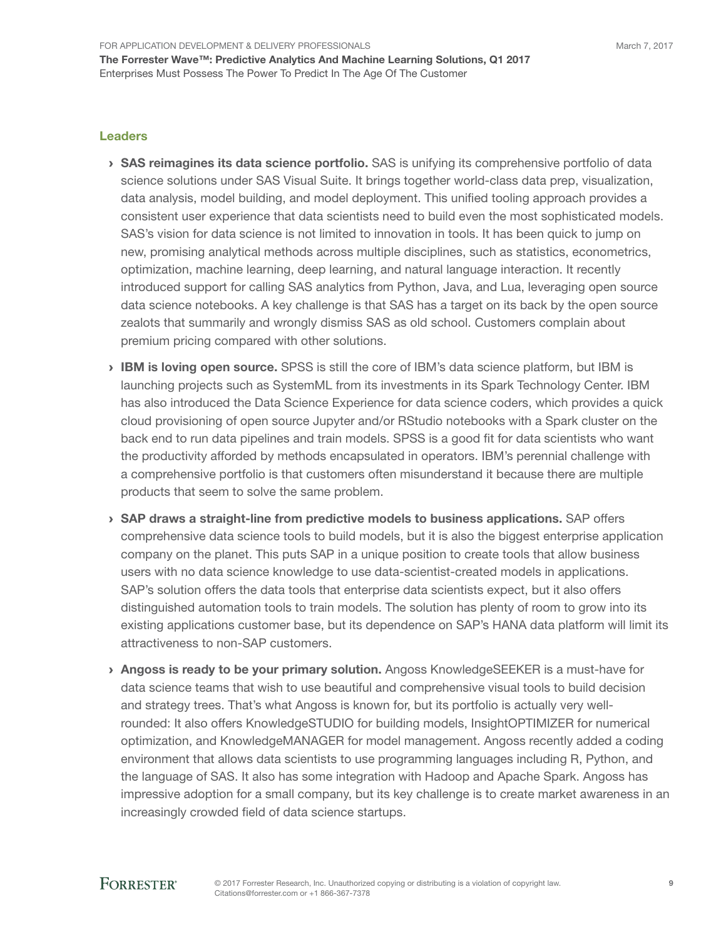#### Leaders

- › SAS reimagines its data science portfolio. SAS is unifying its comprehensive portfolio of data science solutions under SAS Visual Suite. It brings together world-class data prep, visualization, data analysis, model building, and model deployment. This unified tooling approach provides a consistent user experience that data scientists need to build even the most sophisticated models. SAS's vision for data science is not limited to innovation in tools. It has been quick to jump on new, promising analytical methods across multiple disciplines, such as statistics, econometrics, optimization, machine learning, deep learning, and natural language interaction. It recently introduced support for calling SAS analytics from Python, Java, and Lua, leveraging open source data science notebooks. A key challenge is that SAS has a target on its back by the open source zealots that summarily and wrongly dismiss SAS as old school. Customers complain about premium pricing compared with other solutions.
- › IBM is loving open source. SPSS is still the core of IBM's data science platform, but IBM is launching projects such as SystemML from its investments in its Spark Technology Center. IBM has also introduced the Data Science Experience for data science coders, which provides a quick cloud provisioning of open source Jupyter and/or RStudio notebooks with a Spark cluster on the back end to run data pipelines and train models. SPSS is a good fit for data scientists who want the productivity afforded by methods encapsulated in operators. IBM's perennial challenge with a comprehensive portfolio is that customers often misunderstand it because there are multiple products that seem to solve the same problem.
- $\rightarrow$  SAP draws a straight-line from predictive models to business applications. SAP offers comprehensive data science tools to build models, but it is also the biggest enterprise application company on the planet. This puts SAP in a unique position to create tools that allow business users with no data science knowledge to use data-scientist-created models in applications. SAP's solution offers the data tools that enterprise data scientists expect, but it also offers distinguished automation tools to train models. The solution has plenty of room to grow into its existing applications customer base, but its dependence on SAP's HANA data platform will limit its attractiveness to non-SAP customers.
- › Angoss is ready to be your primary solution. Angoss KnowledgeSEEKER is a must-have for data science teams that wish to use beautiful and comprehensive visual tools to build decision and strategy trees. That's what Angoss is known for, but its portfolio is actually very wellrounded: It also offers KnowledgeSTUDIO for building models, InsightOPTIMIZER for numerical optimization, and KnowledgeMANAGER for model management. Angoss recently added a coding environment that allows data scientists to use programming languages including R, Python, and the language of SAS. It also has some integration with Hadoop and Apache Spark. Angoss has impressive adoption for a small company, but its key challenge is to create market awareness in an increasingly crowded field of data science startups.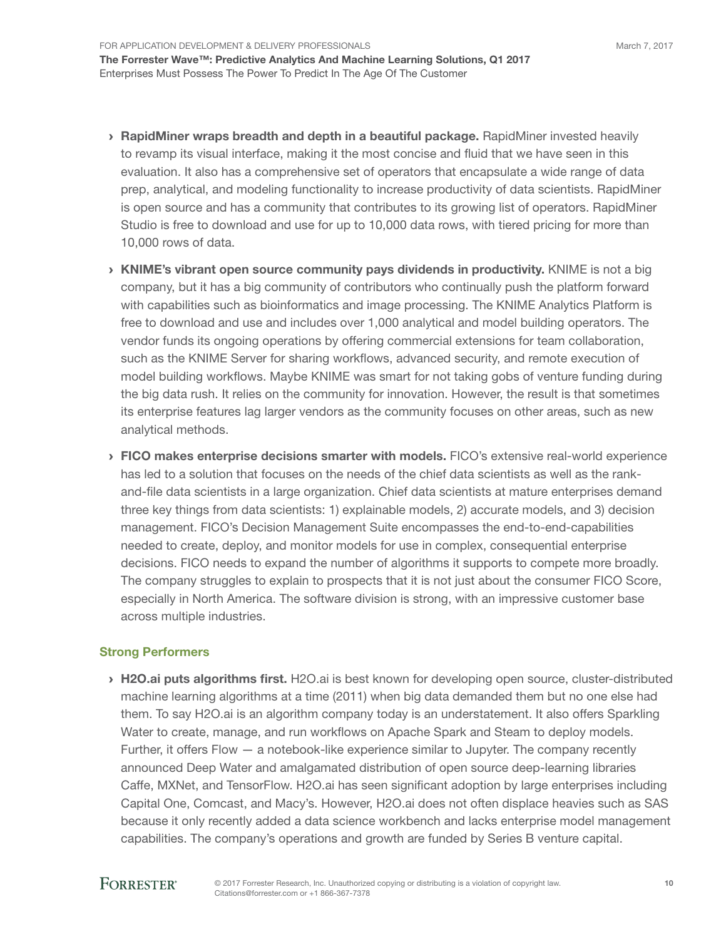- › RapidMiner wraps breadth and depth in a beautiful package. RapidMiner invested heavily to revamp its visual interface, making it the most concise and fluid that we have seen in this evaluation. It also has a comprehensive set of operators that encapsulate a wide range of data prep, analytical, and modeling functionality to increase productivity of data scientists. RapidMiner is open source and has a community that contributes to its growing list of operators. RapidMiner Studio is free to download and use for up to 10,000 data rows, with tiered pricing for more than 10,000 rows of data.
- › KNIME's vibrant open source community pays dividends in productivity. KNIME is not a big company, but it has a big community of contributors who continually push the platform forward with capabilities such as bioinformatics and image processing. The KNIME Analytics Platform is free to download and use and includes over 1,000 analytical and model building operators. The vendor funds its ongoing operations by offering commercial extensions for team collaboration, such as the KNIME Server for sharing workflows, advanced security, and remote execution of model building workflows. Maybe KNIME was smart for not taking gobs of venture funding during the big data rush. It relies on the community for innovation. However, the result is that sometimes its enterprise features lag larger vendors as the community focuses on other areas, such as new analytical methods.
- › FICO makes enterprise decisions smarter with models. FICO's extensive real-world experience has led to a solution that focuses on the needs of the chief data scientists as well as the rankand-file data scientists in a large organization. Chief data scientists at mature enterprises demand three key things from data scientists: 1) explainable models, 2) accurate models, and 3) decision management. FICO's Decision Management Suite encompasses the end-to-end-capabilities needed to create, deploy, and monitor models for use in complex, consequential enterprise decisions. FICO needs to expand the number of algorithms it supports to compete more broadly. The company struggles to explain to prospects that it is not just about the consumer FICO Score, especially in North America. The software division is strong, with an impressive customer base across multiple industries.

#### Strong Performers

> H2O.ai puts algorithms first. H2O.ai is best known for developing open source, cluster-distributed machine learning algorithms at a time (2011) when big data demanded them but no one else had them. To say H2O.ai is an algorithm company today is an understatement. It also offers Sparkling Water to create, manage, and run workflows on Apache Spark and Steam to deploy models. Further, it offers Flow — a notebook-like experience similar to Jupyter. The company recently announced Deep Water and amalgamated distribution of open source deep-learning libraries Caffe, MXNet, and TensorFlow. H2O.ai has seen significant adoption by large enterprises including Capital One, Comcast, and Macy's. However, H2O.ai does not often displace heavies such as SAS because it only recently added a data science workbench and lacks enterprise model management capabilities. The company's operations and growth are funded by Series B venture capital.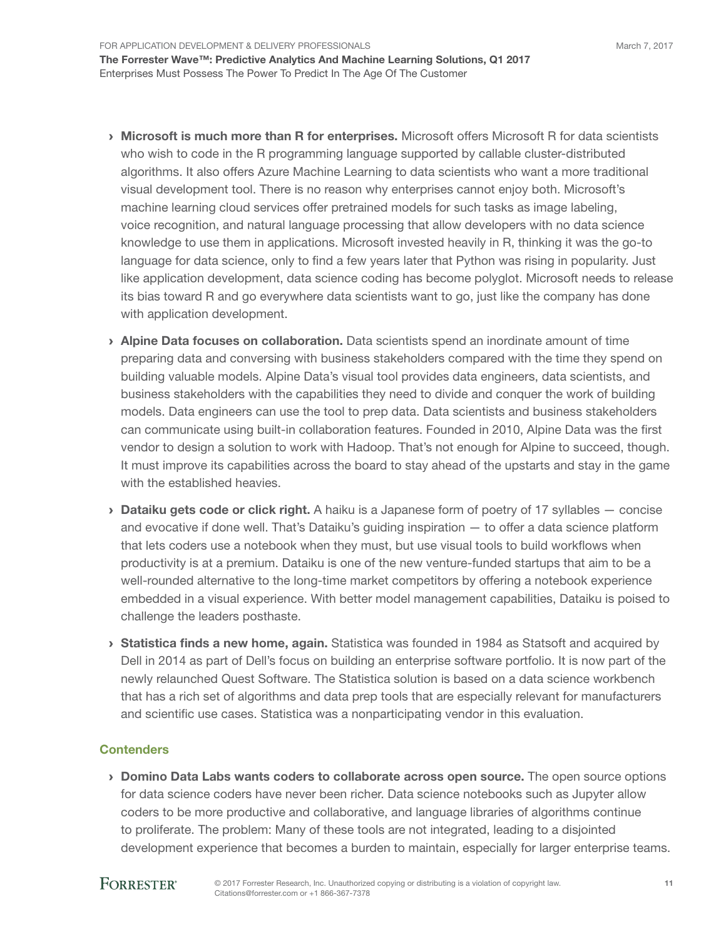- › Microsoft is much more than R for enterprises. Microsoft offers Microsoft R for data scientists who wish to code in the R programming language supported by callable cluster-distributed algorithms. It also offers Azure Machine Learning to data scientists who want a more traditional visual development tool. There is no reason why enterprises cannot enjoy both. Microsoft's machine learning cloud services offer pretrained models for such tasks as image labeling, voice recognition, and natural language processing that allow developers with no data science knowledge to use them in applications. Microsoft invested heavily in R, thinking it was the go-to language for data science, only to find a few years later that Python was rising in popularity. Just like application development, data science coding has become polyglot. Microsoft needs to release its bias toward R and go everywhere data scientists want to go, just like the company has done with application development.
- › Alpine Data focuses on collaboration. Data scientists spend an inordinate amount of time preparing data and conversing with business stakeholders compared with the time they spend on building valuable models. Alpine Data's visual tool provides data engineers, data scientists, and business stakeholders with the capabilities they need to divide and conquer the work of building models. Data engineers can use the tool to prep data. Data scientists and business stakeholders can communicate using built-in collaboration features. Founded in 2010, Alpine Data was the first vendor to design a solution to work with Hadoop. That's not enough for Alpine to succeed, though. It must improve its capabilities across the board to stay ahead of the upstarts and stay in the game with the established heavies.
- $\rightarrow$  Dataiku gets code or click right. A haiku is a Japanese form of poetry of 17 syllables  $-$  concise and evocative if done well. That's Dataiku's guiding inspiration — to offer a data science platform that lets coders use a notebook when they must, but use visual tools to build workflows when productivity is at a premium. Dataiku is one of the new venture-funded startups that aim to be a well-rounded alternative to the long-time market competitors by offering a notebook experience embedded in a visual experience. With better model management capabilities, Dataiku is poised to challenge the leaders posthaste.
- › Statistica finds a new home, again. Statistica was founded in 1984 as Statsoft and acquired by Dell in 2014 as part of Dell's focus on building an enterprise software portfolio. It is now part of the newly relaunched Quest Software. The Statistica solution is based on a data science workbench that has a rich set of algorithms and data prep tools that are especially relevant for manufacturers and scientific use cases. Statistica was a nonparticipating vendor in this evaluation.

#### **Contenders**

› Domino Data Labs wants coders to collaborate across open source. The open source options for data science coders have never been richer. Data science notebooks such as Jupyter allow coders to be more productive and collaborative, and language libraries of algorithms continue to proliferate. The problem: Many of these tools are not integrated, leading to a disjointed development experience that becomes a burden to maintain, especially for larger enterprise teams.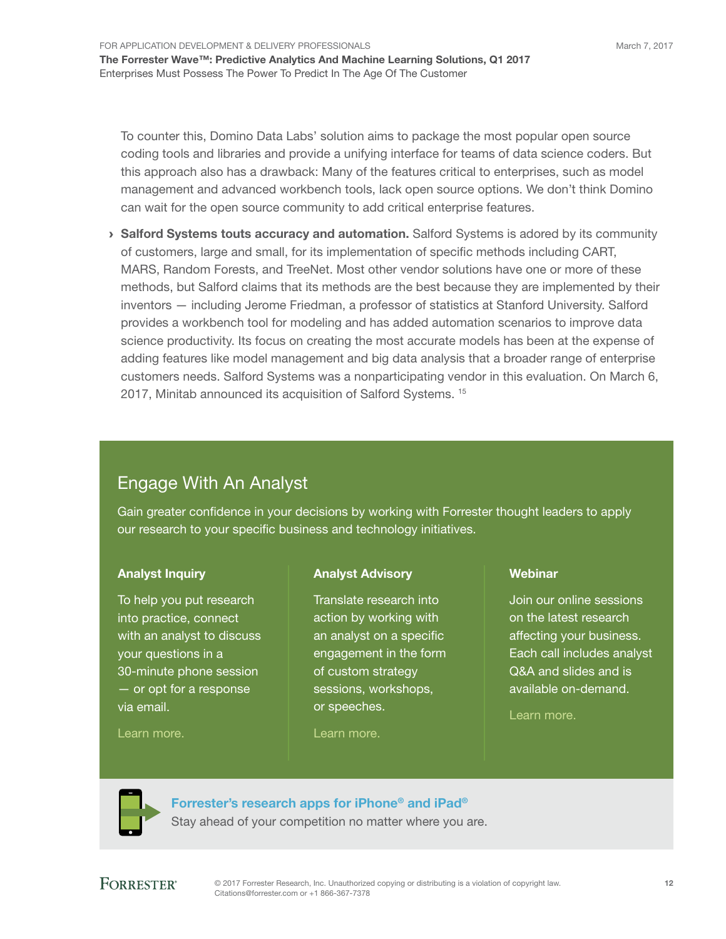To counter this, Domino Data Labs' solution aims to package the most popular open source coding tools and libraries and provide a unifying interface for teams of data science coders. But this approach also has a drawback: Many of the features critical to enterprises, such as model management and advanced workbench tools, lack open source options. We don't think Domino can wait for the open source community to add critical enterprise features.

› Salford Systems touts accuracy and automation. Salford Systems is adored by its community of customers, large and small, for its implementation of specific methods including CART, MARS, Random Forests, and TreeNet. Most other vendor solutions have one or more of these methods, but Salford claims that its methods are the best because they are implemented by their inventors — including Jerome Friedman, a professor of statistics at Stanford University. Salford provides a workbench tool for modeling and has added automation scenarios to improve data science productivity. Its focus on creating the most accurate models has been at the expense of adding features like model management and big data analysis that a broader range of enterprise customers needs. Salford Systems was a nonparticipating vendor in this evaluation. On March 6, 2017, Minitab announced its acquisition of Salford Systems.<sup>15</sup>

### Engage With An Analyst

Gain greater confidence in your decisions by working with Forrester thought leaders to apply our research to your specific business and technology initiatives.

#### Analyst Inquiry

To help you put research into practice, connect with an analyst to discuss your questions in a 30-minute phone session — or opt for a response via email.

#### [Learn more.](http://forr.com/1einFan)

#### Analyst Advisory

Translate research into action by working with an analyst on a specific engagement in the form of custom strategy sessions, workshops, or speeches.

#### [Learn more.](http://www.forrester.com/Analyst-Advisory/-/E-MPL172)

#### Webinar

Join our online sessions on the latest research affecting your business. Each call includes analyst Q&A and slides and is available on-demand.

[Learn more](https://www.forrester.com/events?N=10006+5025).



[Forrester's research apps for iPhone® and iPad®](https://go.forrester.com/apps/) Stay ahead of your competition no matter where you are.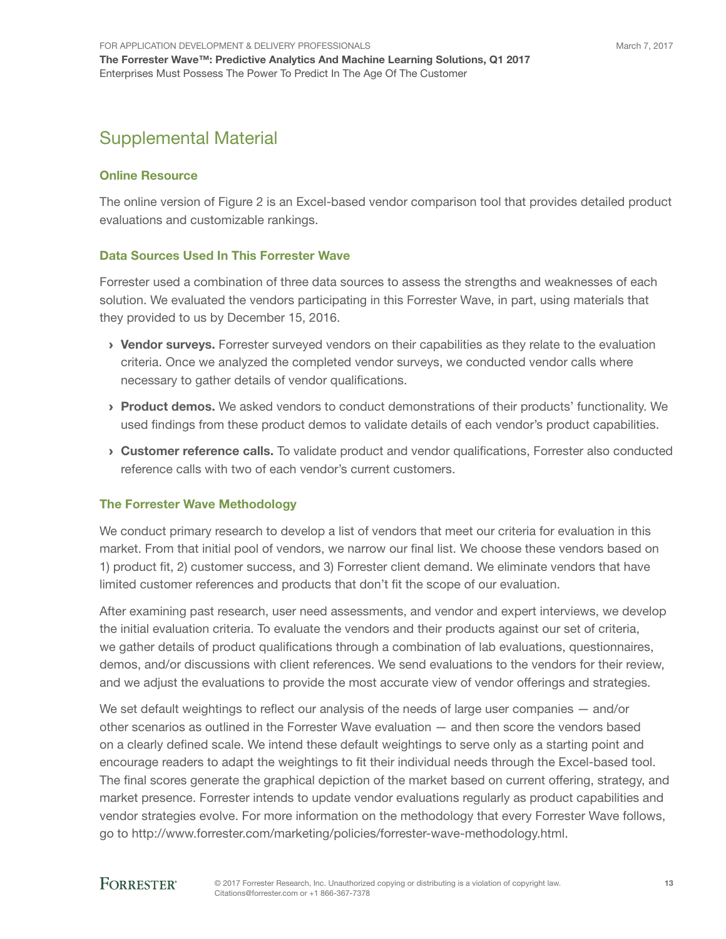### Supplemental Material

#### Online Resource

The online version of Figure 2 is an Excel-based vendor comparison tool that provides detailed product evaluations and customizable rankings.

#### Data Sources Used In This Forrester Wave

Forrester used a combination of three data sources to assess the strengths and weaknesses of each solution. We evaluated the vendors participating in this Forrester Wave, in part, using materials that they provided to us by December 15, 2016.

- › Vendor surveys. Forrester surveyed vendors on their capabilities as they relate to the evaluation criteria. Once we analyzed the completed vendor surveys, we conducted vendor calls where necessary to gather details of vendor qualifications.
- › Product demos. We asked vendors to conduct demonstrations of their products' functionality. We used findings from these product demos to validate details of each vendor's product capabilities.
- › Customer reference calls. To validate product and vendor qualifications, Forrester also conducted reference calls with two of each vendor's current customers.

#### The Forrester Wave Methodology

We conduct primary research to develop a list of vendors that meet our criteria for evaluation in this market. From that initial pool of vendors, we narrow our final list. We choose these vendors based on 1) product fit, 2) customer success, and 3) Forrester client demand. We eliminate vendors that have limited customer references and products that don't fit the scope of our evaluation.

After examining past research, user need assessments, and vendor and expert interviews, we develop the initial evaluation criteria. To evaluate the vendors and their products against our set of criteria, we gather details of product qualifications through a combination of lab evaluations, questionnaires, demos, and/or discussions with client references. We send evaluations to the vendors for their review, and we adjust the evaluations to provide the most accurate view of vendor offerings and strategies.

We set default weightings to reflect our analysis of the needs of large user companies  $-$  and/or other scenarios as outlined in the Forrester Wave evaluation — and then score the vendors based on a clearly defined scale. We intend these default weightings to serve only as a starting point and encourage readers to adapt the weightings to fit their individual needs through the Excel-based tool. The final scores generate the graphical depiction of the market based on current offering, strategy, and market presence. Forrester intends to update vendor evaluations regularly as product capabilities and vendor strategies evolve. For more information on the methodology that every Forrester Wave follows, go to http://www.forrester.com/marketing/policies/forrester-wave-methodology.html.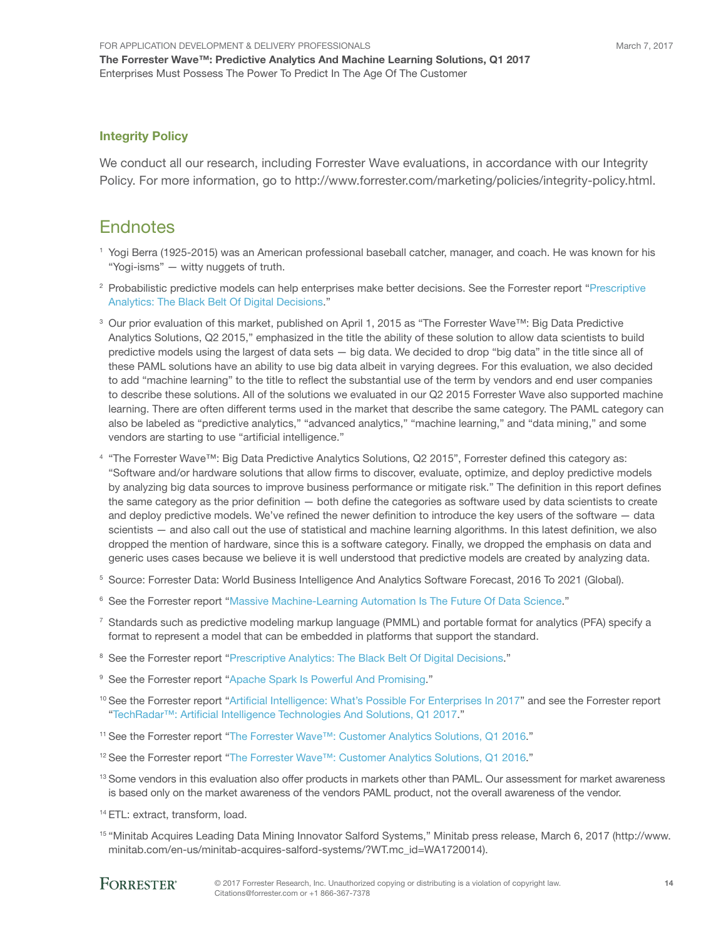#### Integrity Policy

We conduct all our research, including Forrester Wave evaluations, in accordance with our Integrity Policy. For more information, go to http://www.forrester.com/marketing/policies/integrity-policy.html.

#### **Endnotes**

- 1 Yogi Berra (1925-2015) was an American professional baseball catcher, manager, and coach. He was known for his "Yogi-isms" — witty nuggets of truth.
- 2 Probabilistic predictive models can help enterprises make better decisions. See the Forrester report ["Prescriptive](http://www.forrester.com/go?objectid=RES122982)  [Analytics: The Black Belt Of Digital Decisions.](http://www.forrester.com/go?objectid=RES122982)"
- 3 Our prior evaluation of this market, published on April 1, 2015 as "The Forrester Wave™: Big Data Predictive Analytics Solutions, Q2 2015," emphasized in the title the ability of these solution to allow data scientists to build predictive models using the largest of data sets — big data. We decided to drop "big data" in the title since all of these PAML solutions have an ability to use big data albeit in varying degrees. For this evaluation, we also decided to add "machine learning" to the title to reflect the substantial use of the term by vendors and end user companies to describe these solutions. All of the solutions we evaluated in our Q2 2015 Forrester Wave also supported machine learning. There are often different terms used in the market that describe the same category. The PAML category can also be labeled as "predictive analytics," "advanced analytics," "machine learning," and "data mining," and some vendors are starting to use "artificial intelligence."
- <sup>4</sup> "The Forrester Wave™: Big Data Predictive Analytics Solutions, Q2 2015", Forrester defined this category as: "Software and/or hardware solutions that allow firms to discover, evaluate, optimize, and deploy predictive models by analyzing big data sources to improve business performance or mitigate risk." The definition in this report defines the same category as the prior definition — both define the categories as software used by data scientists to create and deploy predictive models. We've refined the newer definition to introduce the key users of the software — data scientists — and also call out the use of statistical and machine learning algorithms. In this latest definition, we also dropped the mention of hardware, since this is a software category. Finally, we dropped the emphasis on data and generic uses cases because we believe it is well understood that predictive models are created by analyzing data.
- 5 Source: Forrester Data: World Business Intelligence And Analytics Software Forecast, 2016 To 2021 (Global).
- 6 See the Forrester report "[Massive Machine-Learning Automation Is The Future Of Data Science.](http://www.forrester.com/go?objectid=RES122683)"
- 7 Standards such as predictive modeling markup language (PMML) and portable format for analytics (PFA) specify a format to represent a model that can be embedded in platforms that support the standard.
- <sup>8</sup> See the Forrester report "[Prescriptive Analytics: The Black Belt Of Digital Decisions.](http://www.forrester.com/go?objectid=RES122982)"
- <sup>9</sup> See the Forrester report "[Apache Spark Is Powerful And Promising](http://www.forrester.com/go?objectid=RES121127)."
- <sup>10</sup> See the Forrester report "[Artificial Intelligence: What's Possible For Enterprises In 2017"](http://www.forrester.com/go?objectid=RES136288) and see the Forrester report ["TechRadar™: Artificial Intelligence Technologies And Solutions, Q1 2017.](http://www.forrester.com/go?objectid=RES136196)"
- <sup>11</sup> See the Forrester report "[The Forrester Wave™: Customer Analytics Solutions, Q1 2016.](http://www.forrester.com/go?objectid=RES128785)"
- 12 See the Forrester report "[The Forrester Wave™: Customer Analytics Solutions, Q1 2016.](http://www.forrester.com/go?objectid=RES128785)"
- <sup>13</sup> Some vendors in this evaluation also offer products in markets other than PAML. Our assessment for market awareness is based only on the market awareness of the vendors PAML product, not the overall awareness of the vendor.
- 14 ETL: extract, transform, load.
- <sup>15</sup> "Minitab Acquires Leading Data Mining Innovator Salford Systems," Minitab press release, March 6, 2017 (http://www. minitab.com/en-us/minitab-acquires-salford-systems/?WT.mc\_id=WA1720014).